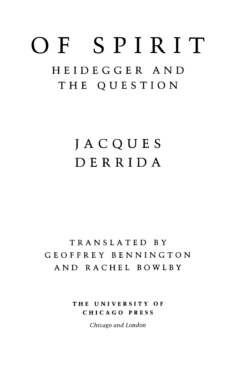## **OF SPIRIT**

HEIDEGGER AND THE QUESTION

## **JACQUES DERRIDA**

TRANSLATED BY GEOFFREY BENNINGTON AND RACHEL BOWLBY

> THE UNIVERSITY OF CHICAGO PRESS

> > *Chicago and London*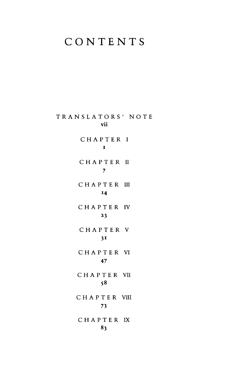## **CONTENTS**

TRANSLATORS' NOTE vii CHAPTER I 1 CHAPTER II 7 CHAPTER III **14**  CHAPTER IV 23 CHAPTER V 3<sup>1</sup> CHAPTER VI 47 CHAPTER VII 58 CHAPTER VIII 73 CHAPTER IX 83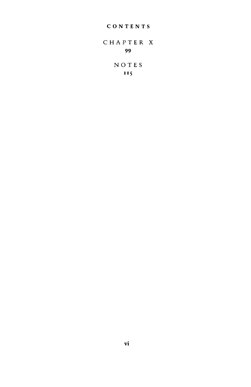CHAPTER X **99** 

> NOTES **IIS**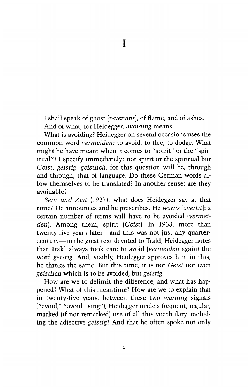I shall speak of ghost *[revenant],* of flame, and of ashes. And of what, for Heidegger, *avoiding* means.

I

What is avoiding? Heidegger on several occasions uses the common word *vermeiden:* to avoid, to flee, to dodge. What might he have meant when it comes to "spirit" or the "spiritual"? I specify immediately: not spirit or the spiritual but *Geist, geistig, geistlicb,* for this question will be, through and through, that of language. Do these German words allow themselves to be translated? In another sense: are they avoidable?

*Sein und Zeit* (1927): what does Heidegger say at that time? He announces and he prescribes. He *warns [avertit]:* a certain number of terms will have to be avoided *(vermeiden).* Among them, spirit *(Geist).* In 1953, more than twenty-five years later-and this was not just any quartercentury-in the great text devoted to Trakl, Heidegger notes that Trakl always took care to avoid *(vermeiden* again) the word *geistig.* And, visibly, Heidegger approves him in this, he thinks the same. But this time, it is not *Geist* nor even *geistlich* which is to be avoided, but *geistig.* 

How are we to delimit the difference, and what has happened? What of this meantime? How are we to explain that in twenty-five years, between these two *warning* signals ("avoid," "avoid using"), Heidegger made a frequent, regular, marked (if not remarked) use of all this vocabulary, including the adjective *geistig?* And that he often spoke not only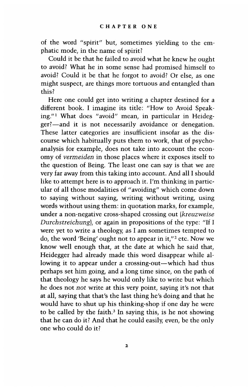of the word "spirit" but, sometimes yielding to the emphatic mode, in the name of spirit?

Could it be that he failed to avoid what he knew he ought to avoid? What he in some sense had promised himself to avoid? Could it be that he forgot to avoid? Or else, as one might suspect, are things more tortuous and entangled than this?

Here one could get into writing a chapter destined for a different book. I imagine its title: "How to Avoid Speaking."<sup>1</sup> What does "avoid" mean, in particular in Heidegger?—and it is not necessarily avoidance or denegation. These latter categories are insufficient insofar as the discourse which habitually puts them to work, that of psychoanalysis for example, does not take into account the economy of *vermeiden* in those places where it exposes itself to the question of Being. The least one can say is that we are very far away from this taking into account. And all I should like to attempt here is to approach it. I'm thinking in particular of all those modalities of "avoiding" which come down to saying without saying, writing without writing, using words without using them: in quotation marks, for example, under a non-negative cross-shaped crossing out *(kreuzweise Durchstreichung),* or again in propositions of the type: "If I were yet to write a theology, as I am sometimes tempted to do, the word 'Being' ought not to appear in it,"2 etc. Now we know well enough that, at the date at which he said that, Heidegger had already made this word disappear while allowing it to appear under a crossing-out-which had thus perhaps set him going, and a long time since, on the path of that theology he says he would only like to write but which he does not *not* write at this very point, saying it's not that at all, saying that that's the last thing he's doing and that he would have to shut up his thinking-shop if one day he were to be called by the faith. $3$  In saying this, is he not showing that he can do it? And that he could easily, even, be the only one who could do it?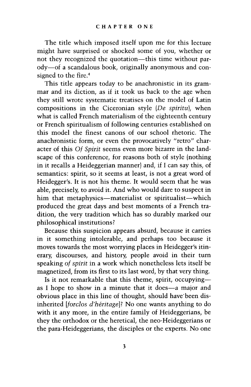The title which imposed itself upon me for this lecture might have surprised or shocked some of you, whether or not they recognized the quotation-this time without parody-of a scandalous book, originally anonymous and consigned to the fire.<sup>4</sup>

This title appears today to be anachronistic in its grammar and its diction, as if it took us back to the age when they still wrote systematic treatises on the model of Latin compositions in the Ciceronian style *(De spiritu),* when what is called French materialism of the eighteenth century or French spiritualism of following centuries established on this model the finest canons of our school rhetoric. The anachronistic form, or even the provocatively "retro" character of this *Of Spirit* seems even more bizarre in the landscape of this conference, for reasons both of style (nothing in it recalls a Heideggerian manner) and, if I can say this, of semantics: spirit, so it seems at least, is not a great word of Heidegger's. It is not his theme. It would seem that he was able, precisely; to avoid it. And who would dare to suspect in him that metaphysics-materialist or spiritualist-which produced the great days and best moments of a French tradition, the very tradition which has so durably marked our philosophical institutions?

Because this suspicion appears absurd, because it carries in it something intolerable, and perhaps too because it moves towards the most worrying places in Heidegger's itinerary; discourses, and history; people avoid in their tum speaking *of spirit* in a work which nonetheless lets itself be magnetized, from its first to its last word, by that very thing.

Is it not remarkable that this theme, spirit, occupyingas I hope to show in a minute that it does-a major and obvious place in this line of thought, should have been disinherited *[forc1os d'heritage]?* No one wants anything to do with it any more, in the entire family of Heideggerians, be they the orthodox or the heretical, the neo-Heideggerians or the para-Heideggerians, the disciples or the experts. No one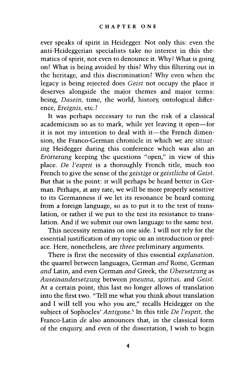ever speaks of spirit in Heidegger. Not only this: even the anti-Heideggerian specialists take no interest in this thematics of spirit, not even to denounce it. Why? What is going on? What is being avoided by this? Why this filtering out in the heritage, and this discrimination? Why even when the legacy is being rejected does *Geist* not occupy the place it deserves alongside the major themes and major terms: being, *Dasein,* time, the world, history, ontological difference, *Ereignis,* etc.?

It was perhaps necessary to run the risk of a classical academicism so as to mark, while yet leaving it open-for it is not my intention to deal with it-the French dimension, the Franco-German chronicle in which we are *situating* Heidegger during this conference which was also an *Erorterung* keeping the questions "open," in view of this place. *De l'esprit* is a thoroughly French title, much too French to give the sense of the *geistige* or *geistliche* of *Geist.*  But that is the point: it will perhaps be heard better in German. Perhaps, at any rate, we will be more properly sensitive to its Germanness if we let its resonance be heard coming from a foreign language, so as to put it to the test of translation, or rather if we put to the test its resistance to translation. And if we submit our own language to the same test.

This necessity remains on one side. I will not rely for the essential justification of my topic on an introduction or preface. Here, nonetheless, are *three* preliminary arguments.

There is first the necessity of this essential *explanation,*  the quarrel between languages, German *and* Rome, German *and* Latin, and even German *and* Greek, the *Ubersetzung* as *Auseinandersetzung* between *pneuma, spiritus,* and *Geist.*  At a certain point, this last no longer allows of translation into the first two. "Tell me what you think about translation and I will tell you who you are," recalls Heidegger on the subject of Sophocles' *Antigone*.<sup>5</sup> In this title *De l'esprit*, the Franco-Latin *de* also announces that, in the classical form of the enquiry, and even of the dissertation, I wish to begin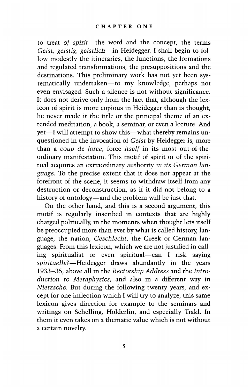to treat *of spirit-the* word and the concept, the terms *Geist, geistig, geistlich-in* Heidegger. I shall begin to follow modestly the itineraries, the functions, the formations and regulated transformations, the presuppositions and the destinations. This preliminary work has not yet been systematically undertaken-to my knowledge, perhaps not even envisaged. Such a silence is not without significance. It does not derive only from the fact that, although the lexicon of spirit is more copious in Heidegger than is thought, he never made it the title or the principal theme of an extended meditation, a book, a seminar, or even a lecture. And yet-I will attempt to show this-what thereby remains unquestioned in the invocation of *Geist* by Heidegger is, more than a *coup de force,* force *itself* in its most out-of-theordinary manifestation. This motif of spirit or of the spiritual acquires an extraordinary authority *in its German language.* To the precise extent that it does not appear at the forefront of the scene, it seems to withdraw itself from any destruction or deconstruction, as if it did not belong to a history of ontology—and the problem will be just that.

On the other hand, and this is a second argument, this motif is regularly inscribed in contexts that are highly charged politically, in the moments when thought lets itself be preoccupied more than ever by what is called history, language, the nation, *Geschlecht,* the Greek or German languages. From this lexicon, which we are not justified in calling spiritualist or even spiritual-can I risk saying *spirituelle?-Heidegger* draws abundantly in the years 1933-35, above all in the *Rectorship Address* and the *Introduction to Metaphysics,* and also in a different way in *Nietzsche.* But during the following twenty years, and except for one inflection which I will try to analyze, this same lexicon gives direction for example to the seminars and writings on Schelling, Hölderlin, and especially Trakl. In them it even takes on a thematic value which is not without a certain novelty.

5